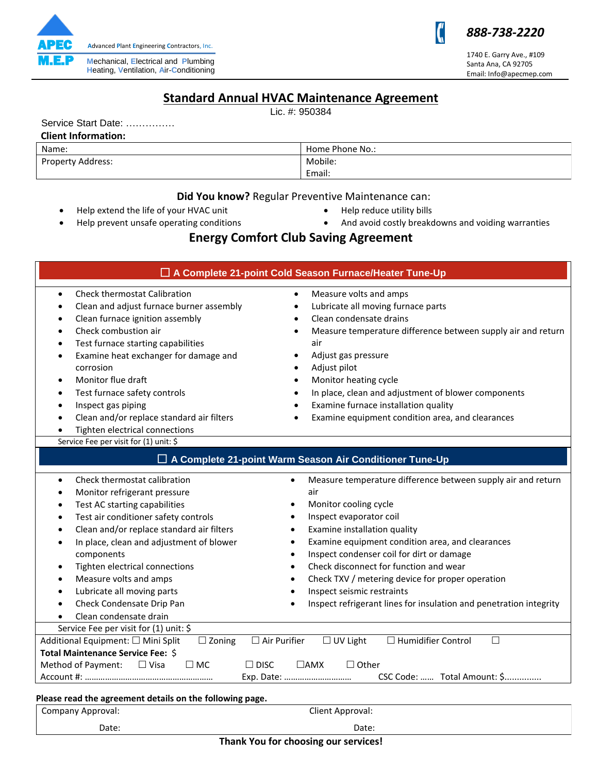

Service Start Date: ……………

 **Client Information:**

### *888-738-2220*

Ű

1740 E. Garry Ave., #109 Santa Ana, CA 92705 Email: Info@apecmep.com

# **Standard Annual HVAC Maintenance Agreement**

Lic. #: 950384

| Name:                                                            | Home Phone No.:                                                           |
|------------------------------------------------------------------|---------------------------------------------------------------------------|
| Property Address:                                                | Mobile:                                                                   |
|                                                                  | Email:                                                                    |
|                                                                  |                                                                           |
|                                                                  | Did You know? Regular Preventive Maintenance can:                         |
| Help extend the life of your HVAC unit                           | Help reduce utility bills                                                 |
| Help prevent unsafe operating conditions                         | And avoid costly breakdowns and voiding warranties                        |
|                                                                  | <b>Energy Comfort Club Saving Agreement</b>                               |
| A Complete 21-point Cold Season Furnace/Heater Tune-Up           |                                                                           |
|                                                                  |                                                                           |
| Clean and adjust furnace burner assembly<br>٠                    | Lubricate all moving furnace parts                                        |
| Clean furnace ignition assembly<br>$\bullet$                     | Clean condensate drains                                                   |
| Check combustion air                                             | Measure temperature difference between supply air and return              |
| Test furnace starting capabilities<br>$\bullet$                  | air                                                                       |
| Examine heat exchanger for damage and                            | Adjust gas pressure                                                       |
| corrosion                                                        | Adjust pilot<br>$\bullet$                                                 |
| Monitor flue draft<br>$\bullet$                                  | Monitor heating cycle<br>$\bullet$                                        |
| Test furnace safety controls<br>٠                                | In place, clean and adjustment of blower components                       |
| Inspect gas piping                                               | Examine furnace installation quality                                      |
| Clean and/or replace standard air filters                        | Examine equipment condition area, and clearances                          |
| Tighten electrical connections                                   |                                                                           |
| Service Fee per visit for (1) unit: \$                           |                                                                           |
|                                                                  | □ A Complete 21-point Warm Season Air Conditioner Tune-Up                 |
| Check thermostat calibration<br>$\bullet$                        | Measure temperature difference between supply air and return<br>$\bullet$ |
| Monitor refrigerant pressure<br>٠                                | air                                                                       |
| Test AC starting capabilities<br>$\bullet$                       | Monitor cooling cycle<br>٠                                                |
| Test air conditioner safety controls                             | Inspect evaporator coil<br>$\bullet$                                      |
| Clean and/or replace standard air filters<br>٠                   | Examine installation quality<br>$\bullet$                                 |
| In place, clean and adjustment of blower                         | Examine equipment condition area, and clearances                          |
| components                                                       | Inspect condenser coil for dirt or damage                                 |
| Tighten electrical connections                                   | Check disconnect for function and wear                                    |
| Measure volts and amps                                           | Check TXV / metering device for proper operation                          |
| Lubricate all moving parts<br>٠                                  | Inspect seismic restraints                                                |
| Check Condensate Drip Pan                                        | Inspect refrigerant lines for insulation and penetration integrity        |
| Clean condensate drain                                           |                                                                           |
| Service Fee per visit for (1) unit: \$                           |                                                                           |
| Additional Equipment: □ Mini Split<br>$\Box$ Zoning              | $\Box$ Air Purifier<br>$\Box$ UV Light<br>□ Humidifier Control<br>$\Box$  |
| Total Maintenance Service Fee: \$                                |                                                                           |
| Method of Payment:<br>$\Box$ Visa<br>$\Box$ DISC<br>$\square$ MC | $\Box$ AMX<br>$\Box$ Other                                                |
|                                                                  | CSC Code:  Total Amount: \$<br>Exp. Date:                                 |
|                                                                  |                                                                           |
| Please read the agreement details on the following page.         |                                                                           |
| Company Approval:<br>Client Approval:                            |                                                                           |

Date: Explorer Contract Contract Contract Contract Contract Contract Contract Contract Contract Contract Contract Contract Contract Contract Contract Contract Contract Contract Contract Contract Contract Contract Contract